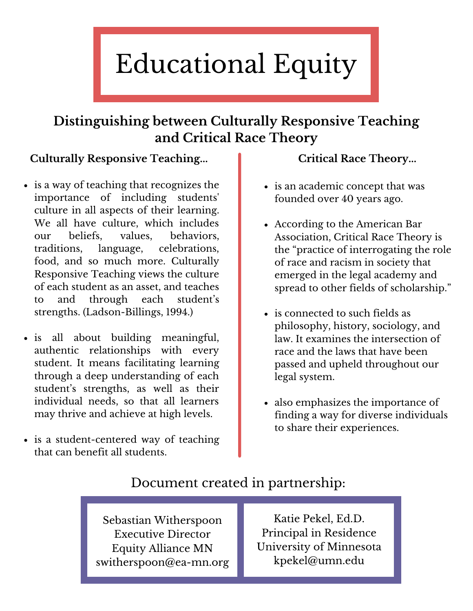# Educational Equity

## **Distinguishing between Culturally Responsive Teaching and Critical Race Theory**

#### **Culturally Responsive Teaching...**

- is a way of teaching that recognizes the importance of including students' culture in all aspects of their learning. We all have culture, which includes our beliefs, values, behaviors, traditions, language, celebrations, food, and so much more. Culturally Responsive Teaching views the culture of each student as an asset, and teaches to and through each student's strengths. (Ladson-Billings, 1994.)
- is all about building meaningful, authentic relationships with every student. It means facilitating learning through a deep understanding of each student's strengths, as well as their individual needs, so that all learners may thrive and achieve at high levels.
- is a student-centered way of teaching that can benefit all students.

#### **Critical Race Theory...**

- is an academic concept that was founded over 40 years ago.
- According to the American Bar Association, Critical Race Theory is the "practice of interrogating the role of race and racism in society that emerged in the legal academy and spread to other fields of scholarship."
- is connected to such fields as philosophy, history, sociology, and law. It examines the intersection of race and the laws that have been passed and upheld throughout our legal system.
- also emphasizes the importance of finding a way for diverse individuals to share their experiences.

#### Document created in partnership:

Sebastian Witherspoon Executive Director Equity Alliance MN switherspoon@ea-mn.org

Katie Pekel, Ed.D. Principal in Residence University of Minnesota kpekel@umn.edu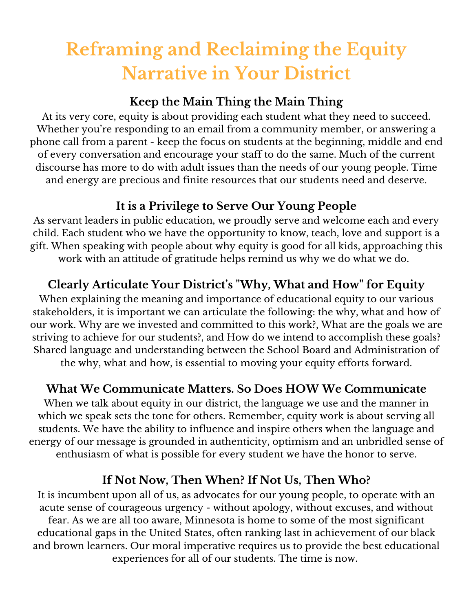# **Reframing and Reclaiming the Equity Narrative in Your District**

#### **Keep the Main Thing the Main Thing**

At its very core, equity is about providing each student what they need to succeed. Whether you're responding to an email from a community member, or answering a phone call from a parent - keep the focus on students at the beginning, middle and end of every conversation and encourage your staff to do the same. Much of the current discourse has more to do with adult issues than the needs of our young people. Time and energy are precious and finite resources that our students need and deserve.

#### **It is a Privilege to Serve Our Young People**

As servant leaders in public education, we proudly serve and welcome each and every child. Each student who we have the opportunity to know, teach, love and support is a gift. When speaking with people about why equity is good for all kids, approaching this work with an attitude of gratitude helps remind us why we do what we do.

#### **Clearly Articulate Your District's "Why, What and How" for Equity**

When explaining the meaning and importance of educational equity to our various stakeholders, it is important we can articulate the following: the why, what and how of our work. Why are we invested and committed to this work?, What are the goals we are striving to achieve for our students?, and How do we intend to accomplish these goals? Shared language and understanding between the School Board and Administration of the why, what and how, is essential to moving your equity efforts forward.

#### **What We Communicate Matters. So Does HOW We Communicate**

When we talk about equity in our district, the language we use and the manner in which we speak sets the tone for others. Remember, equity work is about serving all students. We have the ability to influence and inspire others when the language and energy of our message is grounded in authenticity, optimism and an unbridled sense of enthusiasm of what is possible for every student we have the honor to serve.

#### **If Not Now, Then When? If Not Us, Then Who?**

It is incumbent upon all of us, as advocates for our young people, to operate with an acute sense of courageous urgency - without apology, without excuses, and without fear. As we are all too aware, Minnesota is home to some of the most significant educational gaps in the United States, often ranking last in achievement of our black and brown learners. Our moral imperative requires us to provide the best educational experiences for all of our students. The time is now.